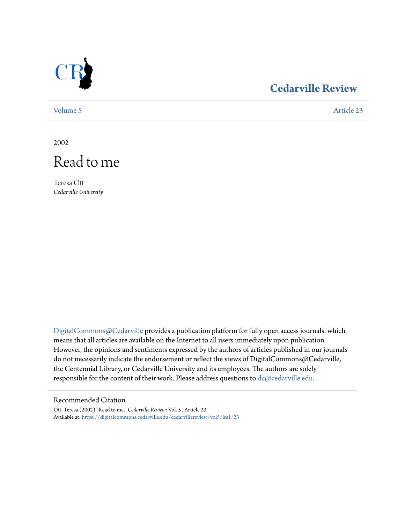

# **[Cedarville Review](https://digitalcommons.cedarville.edu/cedarvillereview?utm_source=digitalcommons.cedarville.edu%2Fcedarvillereview%2Fvol5%2Fiss1%2F23&utm_medium=PDF&utm_campaign=PDFCoverPages)**

[Volume 5](https://digitalcommons.cedarville.edu/cedarvillereview/vol5?utm_source=digitalcommons.cedarville.edu%2Fcedarvillereview%2Fvol5%2Fiss1%2F23&utm_medium=PDF&utm_campaign=PDFCoverPages) [Article 23](https://digitalcommons.cedarville.edu/cedarvillereview/vol5/iss1/23?utm_source=digitalcommons.cedarville.edu%2Fcedarvillereview%2Fvol5%2Fiss1%2F23&utm_medium=PDF&utm_campaign=PDFCoverPages)

2002



Teresa Ott *Cedarville University*

[DigitalCommons@Cedarville](http://digitalcommons.cedarville.edu) provides a publication platform for fully open access journals, which means that all articles are available on the Internet to all users immediately upon publication. However, the opinions and sentiments expressed by the authors of articles published in our journals do not necessarily indicate the endorsement or reflect the views of DigitalCommons@Cedarville, the Centennial Library, or Cedarville University and its employees. The authors are solely responsible for the content of their work. Please address questions to [dc@cedarville.edu](mailto:dc@cedarville.edu).

#### Recommended Citation

Ott, Teresa (2002) "Read to me," *Cedarville Review*: Vol. 5 , Article 23. Available at: [https://digitalcommons.cedarville.edu/cedarvillereview/vol5/iss1/23](https://digitalcommons.cedarville.edu/cedarvillereview/vol5/iss1/23?utm_source=digitalcommons.cedarville.edu%2Fcedarvillereview%2Fvol5%2Fiss1%2F23&utm_medium=PDF&utm_campaign=PDFCoverPages)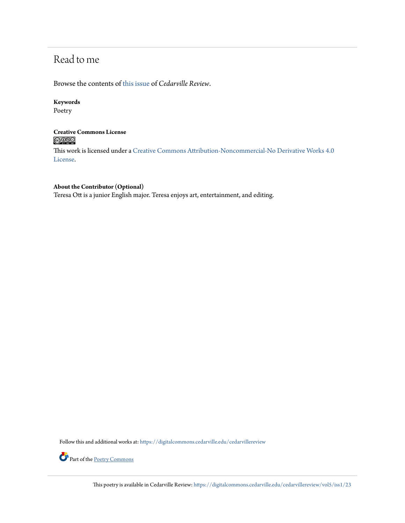# Read to me

Browse the contents of [this issue](https://digitalcommons.cedarville.edu/cedarvillereview/vol5/iss1) of *Cedarville Review*.

### **Keywords**

Poetry

### **Creative Commons License**  $\bigcirc$   $\circ$

This work is licensed under a [Creative Commons Attribution-Noncommercial-No Derivative Works 4.0](http://creativecommons.org/licenses/by-nc-nd/4.0/) [License.](http://creativecommons.org/licenses/by-nc-nd/4.0/)

#### **About the Contributor (Optional)**

Teresa Ott is a junior English major. Teresa enjoys art, entertainment, and editing.

Follow this and additional works at: [https://digitalcommons.cedarville.edu/cedarvillereview](https://digitalcommons.cedarville.edu/cedarvillereview?utm_source=digitalcommons.cedarville.edu%2Fcedarvillereview%2Fvol5%2Fiss1%2F23&utm_medium=PDF&utm_campaign=PDFCoverPages)



Part of the [Poetry Commons](http://network.bepress.com/hgg/discipline/1153?utm_source=digitalcommons.cedarville.edu%2Fcedarvillereview%2Fvol5%2Fiss1%2F23&utm_medium=PDF&utm_campaign=PDFCoverPages)

This poetry is available in Cedarville Review: [https://digitalcommons.cedarville.edu/cedarvillereview/vol5/iss1/23](https://digitalcommons.cedarville.edu/cedarvillereview/vol5/iss1/23?utm_source=digitalcommons.cedarville.edu%2Fcedarvillereview%2Fvol5%2Fiss1%2F23&utm_medium=PDF&utm_campaign=PDFCoverPages)